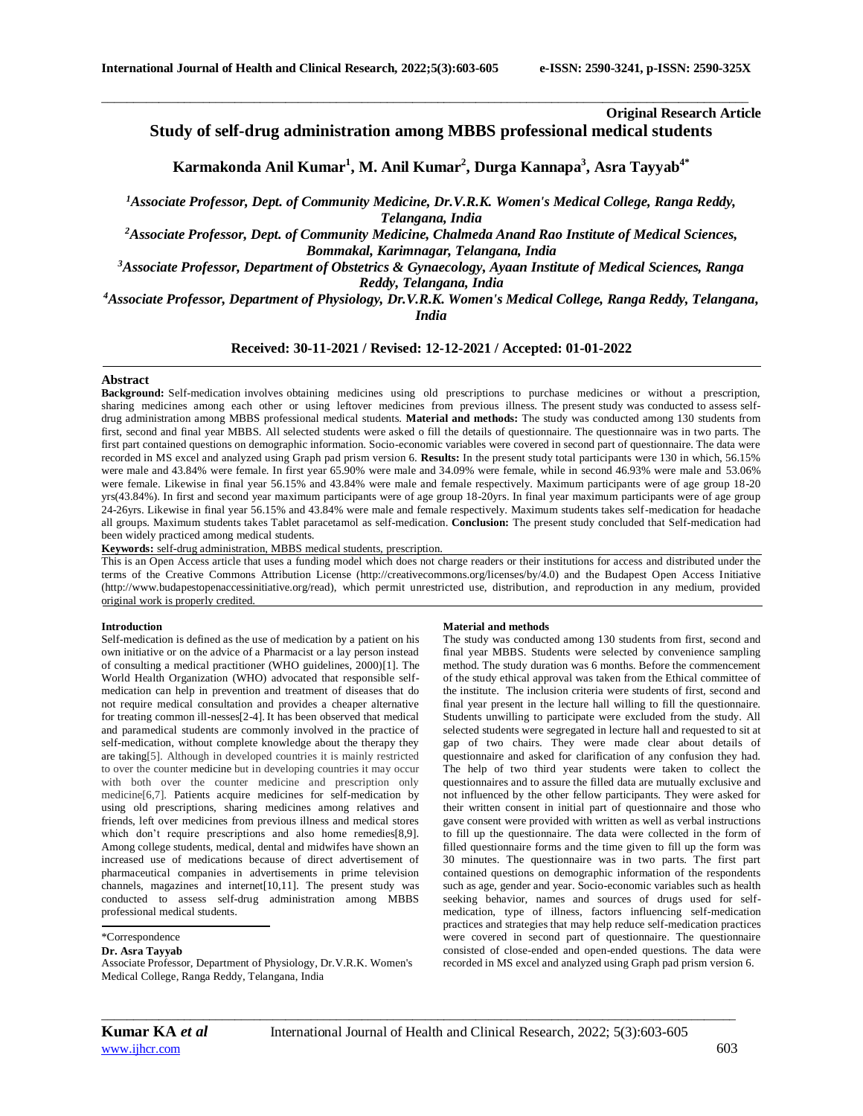## **Original Research Article**

# **Study of self-drug administration among MBBS professional medical students**

**Karmakonda Anil Kumar<sup>1</sup> , M. Anil Kumar<sup>2</sup> , Durga Kannapa<sup>3</sup> , Asra Tayyab4\***

\_\_\_\_\_\_\_\_\_\_\_\_\_\_\_\_\_\_\_\_\_\_\_\_\_\_\_\_\_\_\_\_\_\_\_\_\_\_\_\_\_\_\_\_\_\_\_\_\_\_\_\_\_\_\_\_\_\_\_\_\_\_\_\_\_\_\_\_\_\_\_\_\_\_\_\_\_\_\_\_\_\_\_\_\_\_\_\_\_\_\_\_\_\_\_\_\_\_\_\_\_\_

*<sup>1</sup>Associate Professor, Dept. of Community Medicine, Dr.V.R.K. Women's Medical College, Ranga Reddy, Telangana, India*

*<sup>2</sup>Associate Professor, Dept. of Community Medicine, Chalmeda Anand Rao Institute of Medical Sciences, Bommakal, Karimnagar, Telangana, India*

*<sup>3</sup>Associate Professor, Department of Obstetrics & Gynaecology, Ayaan Institute of Medical Sciences, Ranga Reddy, Telangana, India*

*<sup>4</sup>Associate Professor, Department of Physiology, Dr.V.R.K. Women's Medical College, Ranga Reddy, Telangana, India*

## **Received: 30-11-2021 / Revised: 12-12-2021 / Accepted: 01-01-2022**

## **Abstract**

**Background:** Self-medication involves obtaining medicines using old prescriptions to purchase medicines or without a prescription, sharing medicines among each other or using leftover medicines from previous illness. The present study was conducted to assess selfdrug administration among MBBS professional medical students. **Material and methods:** The study was conducted among 130 students from first, second and final year MBBS. All selected students were asked o fill the details of questionnaire. The questionnaire was in two parts. The first part contained questions on demographic information. Socio-economic variables were covered in second part of questionnaire. The data were recorded in MS excel and analyzed using Graph pad prism version 6. **Results:** In the present study total participants were 130 in which, 56.15% were male and 43.84% were female. In first year 65.90% were male and 34.09% were female, while in second 46.93% were male and 53.06% were female. Likewise in final year 56.15% and 43.84% were male and female respectively. Maximum participants were of age group 18-20 yrs(43.84%). In first and second year maximum participants were of age group 18-20yrs. In final year maximum participants were of age group 24-26yrs. Likewise in final year 56.15% and 43.84% were male and female respectively. Maximum students takes self-medication for headache all groups. Maximum students takes Tablet paracetamol as self-medication. **Conclusion:** The present study concluded that Self-medication had been widely practiced among medical students.

**Keywords:** self-drug administration, MBBS medical students, prescription.

This is an Open Access article that uses a funding model which does not charge readers or their institutions for access and distributed under the terms of the Creative Commons Attribution License (http://creativecommons.org/licenses/by/4.0) and the Budapest Open Access Initiative (http://www.budapestopenaccessinitiative.org/read), which permit unrestricted use, distribution, and reproduction in any medium, provided original work is properly credited.

### **Introduction**

Self-medication is defined as the use of medication by a patient on his own initiative or on the advice of a Pharmacist or a lay person instead of consulting a medical practitioner (WHO guidelines, 2000)[1]. The World Health Organization (WHO) advocated that responsible selfmedication can help in prevention and treatment of diseases that do not require medical consultation and provides a cheaper alternative for treating common ill-nesses[2-4]. It has been observed that medical and paramedical students are commonly involved in the practice of self-medication, without complete knowledge about the therapy they are taking[5]. Although in developed countries it is mainly restricted to over the counter [medicine](https://www.imedpub.com/scholarly/veterinary-medicine-journals-articles-ppts-list.php) but in developing countries it may occur with both over the counter medicine and prescription only medicine[6,7]. Patients acquire medicines for self-medication by using old prescriptions, sharing medicines among relatives and friends, left over medicines from previous illness and medical stores which don't require prescriptions and also home remedies[8,9]. Among college students, medical, dental and midwifes have shown an increased use of medications because of direct advertisement of pharmaceutical companies in advertisements in prime television channels, magazines and internet[10,11]. The present study was conducted to assess self-drug administration among MBBS professional medical students.

## **Dr. Asra Tayyab**

Associate Professor, Department of Physiology, Dr.V.R.K. Women's Medical College, Ranga Reddy, Telangana, India

#### **Material and methods**

The study was conducted among 130 students from first, second and final year MBBS. Students were selected by convenience sampling method. The study duration was 6 months. Before the commencement of the study ethical approval was taken from the Ethical committee of the institute. The inclusion criteria were students of first, second and final year present in the lecture hall willing to fill the questionnaire. Students unwilling to participate were excluded from the study. All selected students were segregated in lecture hall and requested to sit at gap of two chairs. They were made clear about details of questionnaire and asked for clarification of any confusion they had. The help of two third year students were taken to collect the questionnaires and to assure the filled data are mutually exclusive and not influenced by the other fellow participants. They were asked for their written consent in initial part of questionnaire and those who gave consent were provided with written as well as verbal instructions to fill up the questionnaire. The data were collected in the form of filled questionnaire forms and the time given to fill up the form was 30 minutes. The questionnaire was in two parts. The first part contained questions on demographic information of the respondents such as age, gender and year. Socio-economic variables such as health seeking behavior, names and sources of drugs used for selfmedication, type of illness, factors influencing self-medication practices and strategies that may help reduce self-medication practices were covered in second part of questionnaire. The questionnaire consisted of close-ended and open-ended questions. The data were recorded in MS excel and analyzed using Graph pad prism version 6.

*\_\_\_\_\_\_\_\_\_\_\_\_\_\_\_\_\_\_\_\_\_\_\_\_\_\_\_\_\_\_\_\_\_\_\_\_\_\_\_\_\_\_\_\_\_\_\_\_\_\_\_\_\_\_\_\_\_\_\_\_\_\_\_\_\_\_\_\_\_\_\_\_\_\_\_\_\_\_\_\_\_\_\_\_\_\_\_\_\_\_\_\_\_\_\_\_\_\_\_\_*

<sup>\*</sup>Correspondence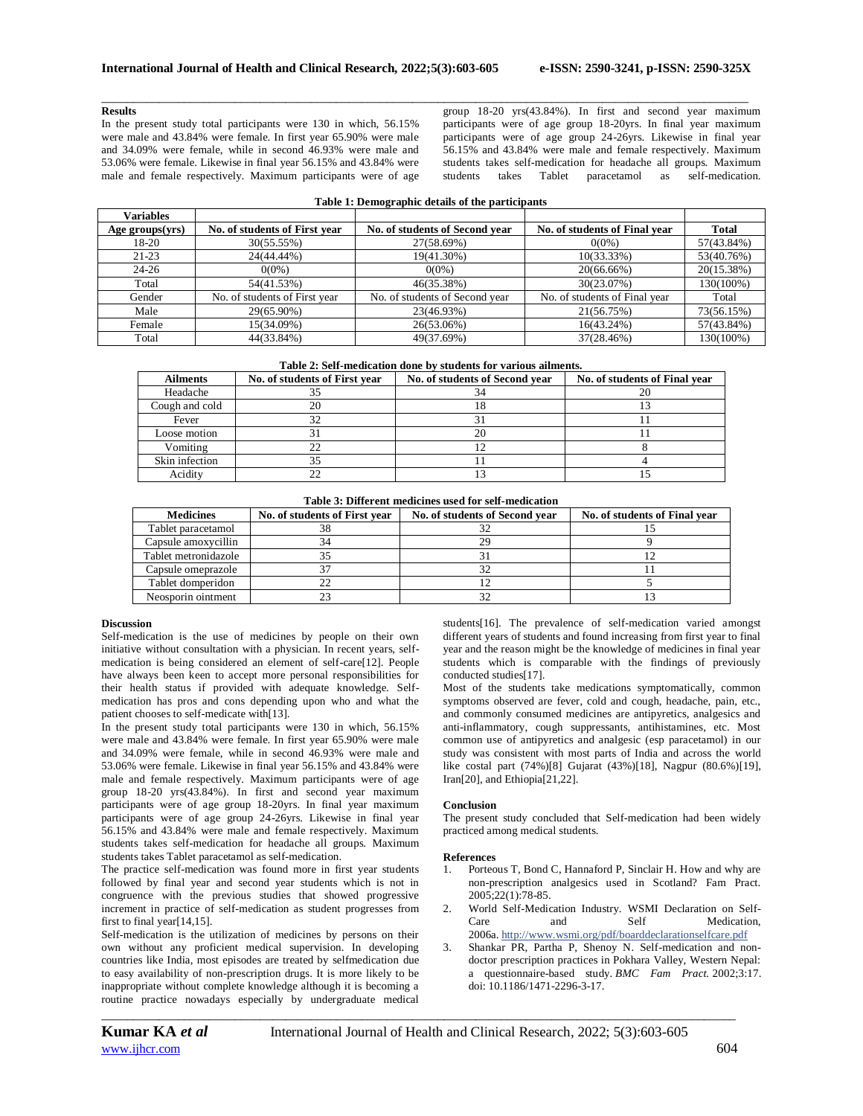## **Results**

In the present study total participants were 130 in which, 56.15% were male and 43.84% were female. In first year 65.90% were male and 34.09% were female, while in second 46.93% were male and 53.06% were female. Likewise in final year 56.15% and 43.84% were male and female respectively. Maximum participants were of age

\_\_\_\_\_\_\_\_\_\_\_\_\_\_\_\_\_\_\_\_\_\_\_\_\_\_\_\_\_\_\_\_\_\_\_\_\_\_\_\_\_\_\_\_\_\_\_\_\_\_\_\_\_\_\_\_\_\_\_\_\_\_\_\_\_\_\_\_\_\_\_\_\_\_\_\_\_\_\_\_\_\_\_\_\_\_\_\_\_\_\_\_\_\_\_\_\_\_\_\_\_\_ group 18-20 yrs(43.84%). In first and second year maximum participants were of age group 18-20yrs. In final year maximum participants were of age group 24-26yrs. Likewise in final year 56.15% and 43.84% were male and female respectively. Maximum students takes self-medication for headache all groups. Maximum students takes Tablet paracetamol as self-medication.

| Table 1: Demographic details of the participants |
|--------------------------------------------------|
|--------------------------------------------------|

| <b>Variables</b> |                               |                                |                               |              |
|------------------|-------------------------------|--------------------------------|-------------------------------|--------------|
| Age groups(yrs)  | No. of students of First year | No. of students of Second year | No. of students of Final year | <b>Total</b> |
| 18-20            | 30(55.55%)                    | 27(58.69%)                     | $0(0\%)$                      | 57(43.84%)   |
| $21 - 23$        | 24(44.44%)                    | 19(41.30%)                     | 10(33.33%)                    | 53(40.76%)   |
| $24 - 26$        | $0(0\%)$                      | $0(0\%)$                       | 20(66.66%)                    | 20(15.38%)   |
| Total            | 54(41.53%)                    | 46(35.38%)                     | 30(23.07%)                    | 130(100%)    |
| Gender           | No. of students of First year | No. of students of Second year | No. of students of Final year | Total        |
| Male             | 29(65.90%)                    | 23(46.93%)                     | 21(56.75%)                    | 73(56.15%)   |
| Female           | 15(34.09%)                    | 26(53.06%)                     | $16(43.24\%)$                 | 57(43.84%)   |
| Total            | 44(33.84%)                    | 49(37.69%)                     | 37(28.46%)                    | 130(100%)    |

| <b>Ailments</b> | No. of students of First year | No. of students of Second year | No. of students of Final year |
|-----------------|-------------------------------|--------------------------------|-------------------------------|
| Headache        |                               |                                |                               |
| Cough and cold  | 20                            |                                |                               |
| Fever           | 32                            |                                |                               |
| Loose motion    |                               |                                |                               |
| Vomiting        |                               |                                |                               |
| Skin infection  | 32                            |                                |                               |
| Acidity         |                               |                                |                               |

**Table 3: Different medicines used for self-medication**

| <b>Medicines</b>     | No. of students of First year | No. of students of Second year | No. of students of Final vear |
|----------------------|-------------------------------|--------------------------------|-------------------------------|
| Tablet paracetamol   | 38                            |                                |                               |
| Capsule amoxycillin  |                               | 29                             |                               |
| Tablet metronidazole |                               |                                |                               |
| Capsule omeprazole   |                               |                                |                               |
| Tablet domperidon    |                               |                                |                               |
| Neosporin ointment   |                               | 32                             |                               |

## **Discussion**

Self-medication is the use of medicines by people on their own initiative without consultation with a physician. In recent years, selfmedication is being considered an element of self-care[12]. People have always been keen to accept more personal responsibilities for their health status if provided with adequate knowledge. Selfmedication has pros and cons depending upon who and what the patient chooses to self-medicate with[13].

In the present study total participants were 130 in which, 56.15% were male and 43.84% were female. In first year 65.90% were male and 34.09% were female, while in second 46.93% were male and 53.06% were female. Likewise in final year 56.15% and 43.84% were male and female respectively. Maximum participants were of age group 18-20 yrs(43.84%). In first and second year maximum participants were of age group 18-20yrs. In final year maximum participants were of age group 24-26yrs. Likewise in final year 56.15% and 43.84% were male and female respectively. Maximum students takes self-medication for headache all groups. Maximum students takes Tablet paracetamol as self-medication.

The practice self-medication was found more in first year students followed by final year and second year students which is not in congruence with the previous studies that showed progressive increment in practice of self-medication as student progresses from first to final year[14,15].

Self-medication is the utilization of medicines by persons on their own without any proficient medical supervision. In developing countries like India, most episodes are treated by selfmedication due to easy availability of non-prescription drugs. It is more likely to be inappropriate without complete knowledge although it is becoming a routine practice nowadays especially by undergraduate medical

students[16]. The prevalence of self-medication varied amongst different years of students and found increasing from first year to final year and the reason might be the knowledge of medicines in final year students which is comparable with the findings of previously conducted studies[17].

Most of the students take medications symptomatically, common symptoms observed are fever, cold and cough, headache, pain, etc., and commonly consumed medicines are antipyretics, analgesics and anti-inflammatory, cough suppressants, antihistamines, etc. Most common use of antipyretics and analgesic (esp paracetamol) in our study was consistent with most parts of India and across the world like costal part (74%)[8] Gujarat (43%)[18], Nagpur (80.6%)[19], Iran[20], and Ethiopia[21,22].

## **Conclusion**

The present study concluded that Self-medication had been widely practiced among medical students.

## **References**

- 1. Porteous T, Bond C, Hannaford P, Sinclair H. How and why are non-prescription analgesics used in Scotland? Fam Pract. 2005;22(1):78-85.
- 2. World Self-Medication Industry. WSMI Declaration on Self-Care and Self Medication. 2006a. <http://www.wsmi.org/pdf/boarddeclarationselfcare.pdf>
- 3. Shankar PR, Partha P, Shenoy N. Self-medication and nondoctor prescription practices in Pokhara Valley, Western Nepal: a questionnaire-based study. *BMC Fam Pract.* 2002;3:17. doi: 10.1186/1471-2296-3-17.

*\_\_\_\_\_\_\_\_\_\_\_\_\_\_\_\_\_\_\_\_\_\_\_\_\_\_\_\_\_\_\_\_\_\_\_\_\_\_\_\_\_\_\_\_\_\_\_\_\_\_\_\_\_\_\_\_\_\_\_\_\_\_\_\_\_\_\_\_\_\_\_\_\_\_\_\_\_\_\_\_\_\_\_\_\_\_\_\_\_\_\_\_\_\_\_\_\_\_\_\_*